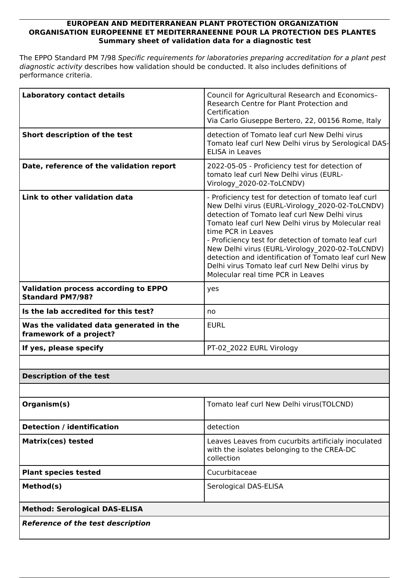## **EUROPEAN AND MEDITERRANEAN PLANT PROTECTION ORGANIZATION ORGANISATION EUROPEENNE ET MEDITERRANEENNE POUR LA PROTECTION DES PLANTES Summary sheet of validation data for a diagnostic test**

The EPPO Standard PM 7/98 *Specific requirements for laboratories preparing accreditation for a plant pest diagnostic activity* describes how validation should be conducted. It also includes definitions of performance criteria.

| <b>Laboratory contact details</b>                                      | Council for Agricultural Research and Economics-<br>Research Centre for Plant Protection and<br>Certification<br>Via Carlo Giuseppe Bertero, 22, 00156 Rome, Italy                                                                                                                                                                                                                                                                                                                              |  |
|------------------------------------------------------------------------|-------------------------------------------------------------------------------------------------------------------------------------------------------------------------------------------------------------------------------------------------------------------------------------------------------------------------------------------------------------------------------------------------------------------------------------------------------------------------------------------------|--|
| Short description of the test                                          | detection of Tomato leaf curl New Delhi virus<br>Tomato leaf curl New Delhi virus by Serological DAS-<br><b>ELISA in Leaves</b>                                                                                                                                                                                                                                                                                                                                                                 |  |
| Date, reference of the validation report                               | 2022-05-05 - Proficiency test for detection of<br>tomato leaf curl New Delhi virus (EURL-<br>Virology 2020-02-ToLCNDV)                                                                                                                                                                                                                                                                                                                                                                          |  |
| Link to other validation data                                          | - Proficiency test for detection of tomato leaf curl<br>New Delhi virus (EURL-Virology 2020-02-ToLCNDV)<br>detection of Tomato leaf curl New Delhi virus<br>Tomato leaf curl New Delhi virus by Molecular real<br>time PCR in Leaves<br>- Proficiency test for detection of tomato leaf curl<br>New Delhi virus (EURL-Virology 2020-02-ToLCNDV)<br>detection and identification of Tomato leaf curl New<br>Delhi virus Tomato leaf curl New Delhi virus by<br>Molecular real time PCR in Leaves |  |
| <b>Validation process according to EPPO</b><br><b>Standard PM7/98?</b> | yes                                                                                                                                                                                                                                                                                                                                                                                                                                                                                             |  |
| Is the lab accredited for this test?                                   | no                                                                                                                                                                                                                                                                                                                                                                                                                                                                                              |  |
| Was the validated data generated in the<br>framework of a project?     | <b>EURL</b>                                                                                                                                                                                                                                                                                                                                                                                                                                                                                     |  |
| If yes, please specify                                                 | PT-02 2022 EURL Virology                                                                                                                                                                                                                                                                                                                                                                                                                                                                        |  |
|                                                                        |                                                                                                                                                                                                                                                                                                                                                                                                                                                                                                 |  |
| <b>Description of the test</b>                                         |                                                                                                                                                                                                                                                                                                                                                                                                                                                                                                 |  |
|                                                                        |                                                                                                                                                                                                                                                                                                                                                                                                                                                                                                 |  |
| Organism(s)                                                            | Tomato leaf curl New Delhi virus(TOLCND)                                                                                                                                                                                                                                                                                                                                                                                                                                                        |  |
| <b>Detection / identification</b>                                      | detection                                                                                                                                                                                                                                                                                                                                                                                                                                                                                       |  |
| <b>Matrix(ces) tested</b>                                              | Leaves Leaves from cucurbits artificialy inoculated<br>with the isolates belonging to the CREA-DC<br>collection                                                                                                                                                                                                                                                                                                                                                                                 |  |
| <b>Plant species tested</b>                                            | Cucurbitaceae                                                                                                                                                                                                                                                                                                                                                                                                                                                                                   |  |
| Method(s)                                                              | Serological DAS-ELISA                                                                                                                                                                                                                                                                                                                                                                                                                                                                           |  |
| <b>Method: Serological DAS-ELISA</b>                                   |                                                                                                                                                                                                                                                                                                                                                                                                                                                                                                 |  |
| <b>Reference of the test description</b>                               |                                                                                                                                                                                                                                                                                                                                                                                                                                                                                                 |  |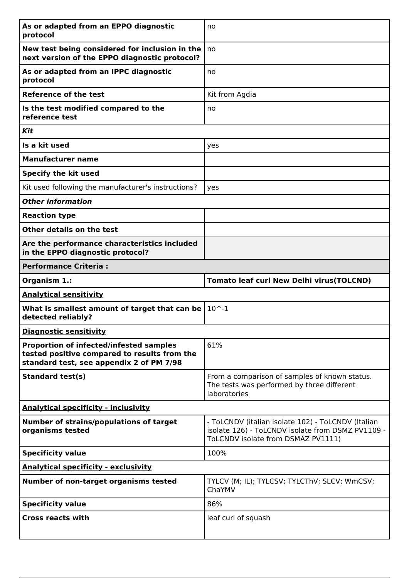| As or adapted from an EPPO diagnostic<br>protocol                                                                                          | no                                                                                                                                            |  |
|--------------------------------------------------------------------------------------------------------------------------------------------|-----------------------------------------------------------------------------------------------------------------------------------------------|--|
| New test being considered for inclusion in the<br>next version of the EPPO diagnostic protocol?                                            | no                                                                                                                                            |  |
| As or adapted from an IPPC diagnostic<br>protocol                                                                                          | no                                                                                                                                            |  |
| <b>Reference of the test</b>                                                                                                               | Kit from Agdia                                                                                                                                |  |
| Is the test modified compared to the<br>reference test                                                                                     | no                                                                                                                                            |  |
| Kit                                                                                                                                        |                                                                                                                                               |  |
| Is a kit used                                                                                                                              | yes                                                                                                                                           |  |
| <b>Manufacturer name</b>                                                                                                                   |                                                                                                                                               |  |
| <b>Specify the kit used</b>                                                                                                                |                                                                                                                                               |  |
| Kit used following the manufacturer's instructions?                                                                                        | yes                                                                                                                                           |  |
| <b>Other information</b>                                                                                                                   |                                                                                                                                               |  |
| <b>Reaction type</b>                                                                                                                       |                                                                                                                                               |  |
| Other details on the test                                                                                                                  |                                                                                                                                               |  |
| Are the performance characteristics included<br>in the EPPO diagnostic protocol?                                                           |                                                                                                                                               |  |
| <b>Performance Criteria:</b>                                                                                                               |                                                                                                                                               |  |
| Organism 1.:                                                                                                                               | <b>Tomato leaf curl New Delhi virus (TOLCND)</b>                                                                                              |  |
|                                                                                                                                            |                                                                                                                                               |  |
| <b>Analytical sensitivity</b>                                                                                                              |                                                                                                                                               |  |
| What is smallest amount of target that can be $ 10^{\circ}$ -1<br>detected reliably?                                                       |                                                                                                                                               |  |
| <b>Diagnostic sensitivity</b>                                                                                                              |                                                                                                                                               |  |
| <b>Proportion of infected/infested samples</b><br>tested positive compared to results from the<br>standard test, see appendix 2 of PM 7/98 | 61%                                                                                                                                           |  |
| <b>Standard test(s)</b>                                                                                                                    | From a comparison of samples of known status.<br>The tests was performed by three different<br>laboratories                                   |  |
| <b>Analytical specificity - inclusivity</b>                                                                                                |                                                                                                                                               |  |
| <b>Number of strains/populations of target</b><br>organisms tested                                                                         | - ToLCNDV (italian isolate 102) - ToLCNDV (Italian<br>isolate 126) - ToLCNDV isolate from DSMZ PV1109 -<br>ToLCNDV isolate from DSMAZ PV1111) |  |
| <b>Specificity value</b>                                                                                                                   | 100%                                                                                                                                          |  |
| <b>Analytical specificity - exclusivity</b>                                                                                                |                                                                                                                                               |  |
| <b>Number of non-target organisms tested</b>                                                                                               | TYLCV (M; IL); TYLCSV; TYLCThV; SLCV; WmCSV;<br>ChaYMV                                                                                        |  |
| <b>Specificity value</b>                                                                                                                   | 86%                                                                                                                                           |  |